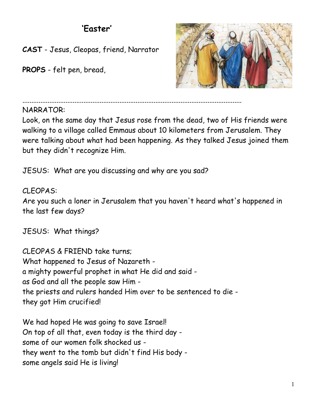## **'Easter'**

**CAST** - Jesus, Cleopas, friend, Narrator

**PROPS** - felt pen, bread,



..........................................................................................................................

## NARRATOR:

Look, on the same day that Jesus rose from the dead, two of His friends were walking to a village called Emmaus about 10 kilometers from Jerusalem. They were talking about what had been happening. As they talked Jesus joined them but they didn't recognize Him.

JESUS: What are you discussing and why are you sad?

CLEOPAS: Are you such a loner in Jerusalem that you haven't heard what's happened in the last few days?

JESUS: What things?

CLEOPAS & FRIEND take turns; What happened to Jesus of Nazareth a mighty powerful prophet in what He did and said as God and all the people saw Him the priests and rulers handed Him over to be sentenced to die they got Him crucified!

We had hoped He was going to save Israel! On top of all that, even today is the third day some of our women folk shocked us they went to the tomb but didn't find His body some angels said He is living!